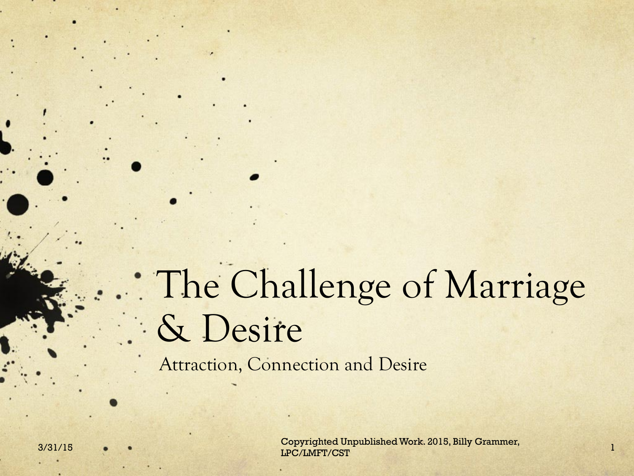# The Challenge of Marriage & Desire

Attraction, Connection and Desire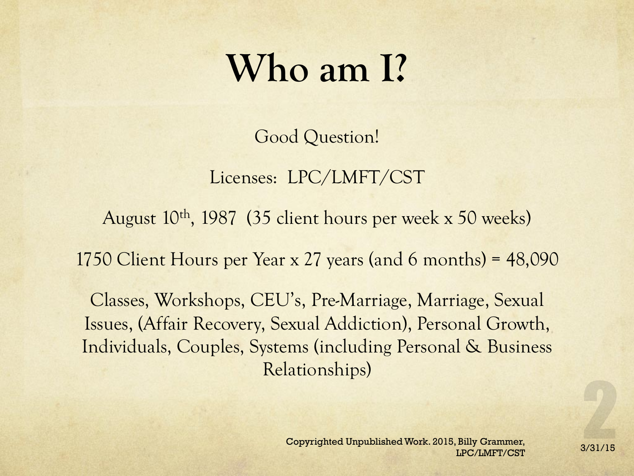#### **Who am I?**

Good Question!

Licenses: LPC/LMFT/CST

August 10th, 1987 (35 client hours per week x 50 weeks)

1750 Client Hours per Year x 27 years (and 6 months) = 48,090

Classes, Workshops, CEU's, Pre-Marriage, Marriage, Sexual Issues, (Affair Recovery, Sexual Addiction), Personal Growth, Individuals, Couples, Systems (including Personal & Business Relationships)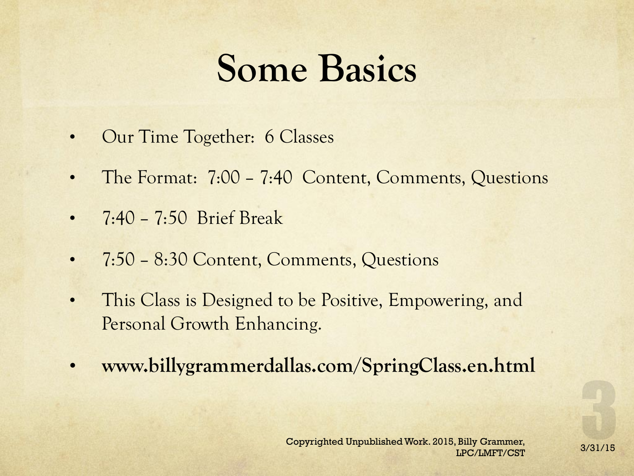### **Some Basics**

- Our Time Together: 6 Classes
- The Format: 7:00 7:40 Content, Comments, Questions
- 7:40 7:50 Brief Break
- 7:50 8:30 Content, Comments, Questions
- This Class is Designed to be Positive, Empowering, and Personal Growth Enhancing.
- **www.billygrammerdallas.com/SpringClass.en.html**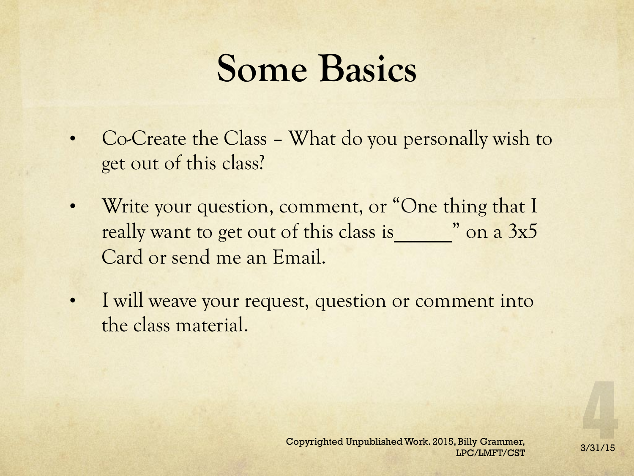### **Some Basics**

- Co-Create the Class What do you personally wish to get out of this class?
- Write your question, comment, or "One thing that I really want to get out of this class is " on a 3x5 Card or send me an Email.
- I will weave your request, question or comment into the class material.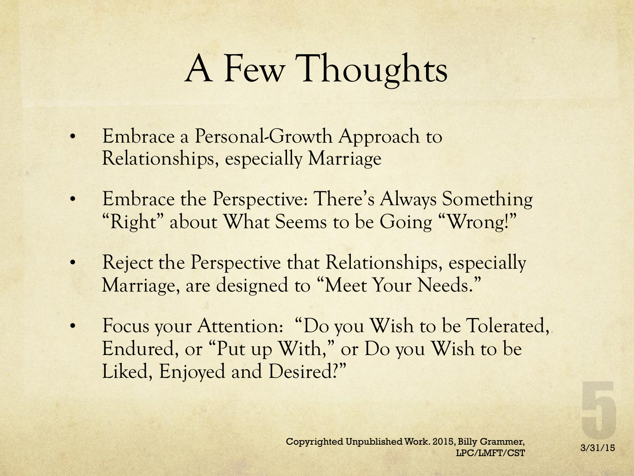# A Few Thoughts

- Embrace a Personal-Growth Approach to Relationships, especially Marriage
- Embrace the Perspective: There's Always Something "Right" about What Seems to be Going "Wrong!"
- Reject the Perspective that Relationships, especially Marriage, are designed to "Meet Your Needs."
- Focus your Attention: "Do you Wish to be Tolerated, Endured, or "Put up With," or Do you Wish to be Liked, Enjoyed and Desired?"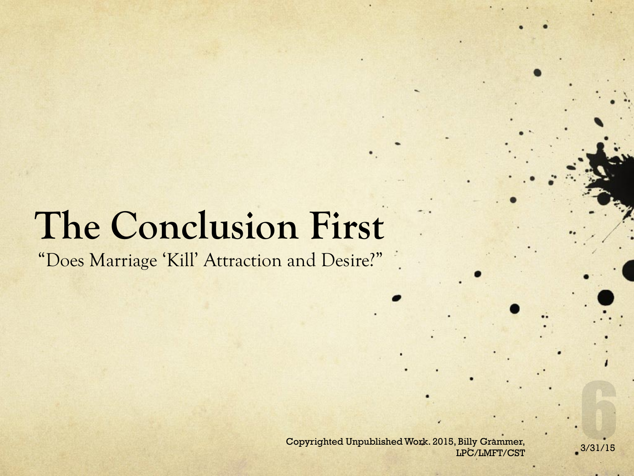# **The Conclusion First**

"Does Marriage 'Kill' Attraction and Desire?"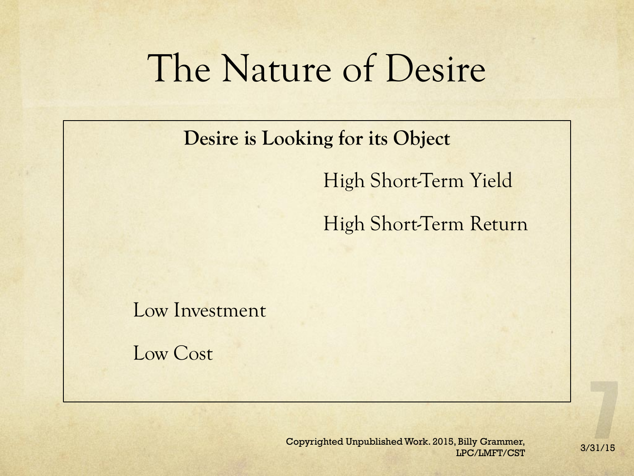#### The Nature of Desire

**Desire is Looking for its Object** 

High Short-Term Yield

High Short-Term Return

Low Investment

Low Cost

Copyrighted Unpublished Work. 2015, Billy Grammer,<br>3/31/15 LPC/LMFT/CST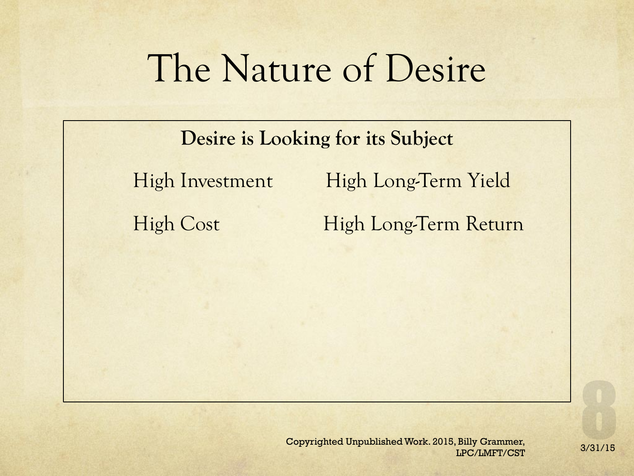## The Nature of Desire

**Desire is Looking for its Subject**  High Investment High Long-Term Yield High Cost High Long-Term Return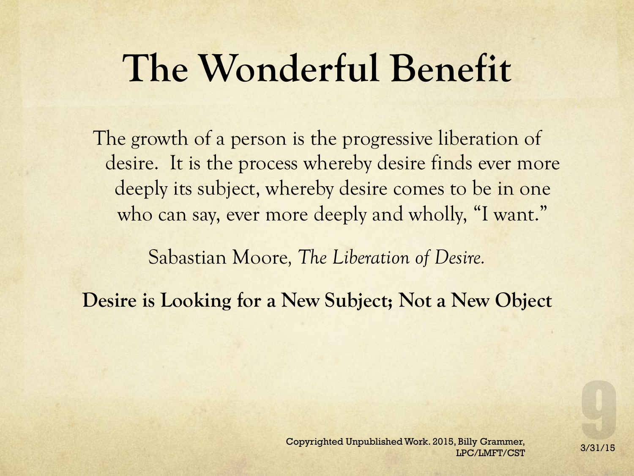## **The Wonderful Benefit**

The growth of a person is the progressive liberation of desire. It is the process whereby desire finds ever more deeply its subject, whereby desire comes to be in one who can say, ever more deeply and wholly, "I want."

Sabastian Moore*, The Liberation of Desire.* 

**Desire is Looking for a New Subject; Not a New Object**